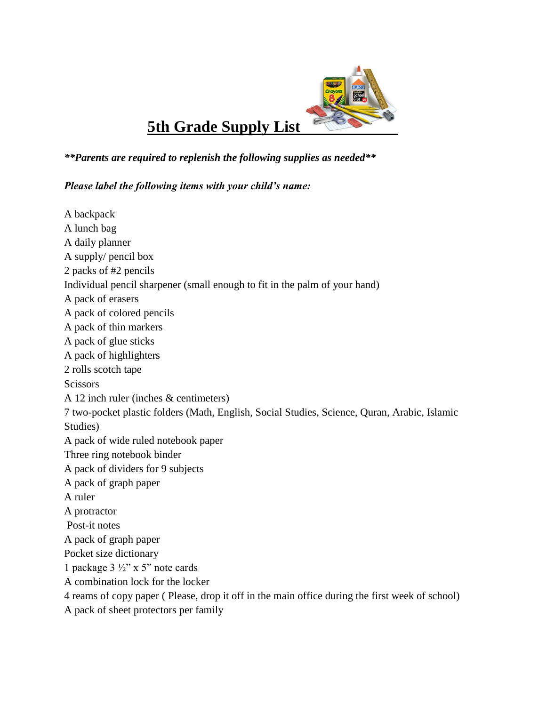

## *\*\*Parents are required to replenish the following supplies as needed\*\**

## *Please label the following items with your child's name:*

| A backpack                                                                                     |
|------------------------------------------------------------------------------------------------|
| A lunch bag                                                                                    |
| A daily planner                                                                                |
| A supply/ pencil box                                                                           |
| 2 packs of #2 pencils                                                                          |
| Individual pencil sharpener (small enough to fit in the palm of your hand)                     |
| A pack of erasers                                                                              |
| A pack of colored pencils                                                                      |
| A pack of thin markers                                                                         |
| A pack of glue sticks                                                                          |
| A pack of highlighters                                                                         |
| 2 rolls scotch tape                                                                            |
| <b>Scissors</b>                                                                                |
| A 12 inch ruler (inches $&$ centimeters)                                                       |
| 7 two-pocket plastic folders (Math, English, Social Studies, Science, Quran, Arabic, Islamic   |
| Studies)                                                                                       |
| A pack of wide ruled notebook paper                                                            |
| Three ring notebook binder                                                                     |
| A pack of dividers for 9 subjects                                                              |
| A pack of graph paper                                                                          |
| A ruler                                                                                        |
| A protractor                                                                                   |
| Post-it notes                                                                                  |
| A pack of graph paper                                                                          |
| Pocket size dictionary                                                                         |
| 1 package $3\frac{1}{2}$ " x 5" note cards                                                     |
| A combination lock for the locker                                                              |
| 4 reams of copy paper (Please, drop it off in the main office during the first week of school) |
| A pack of sheet protectors per family                                                          |